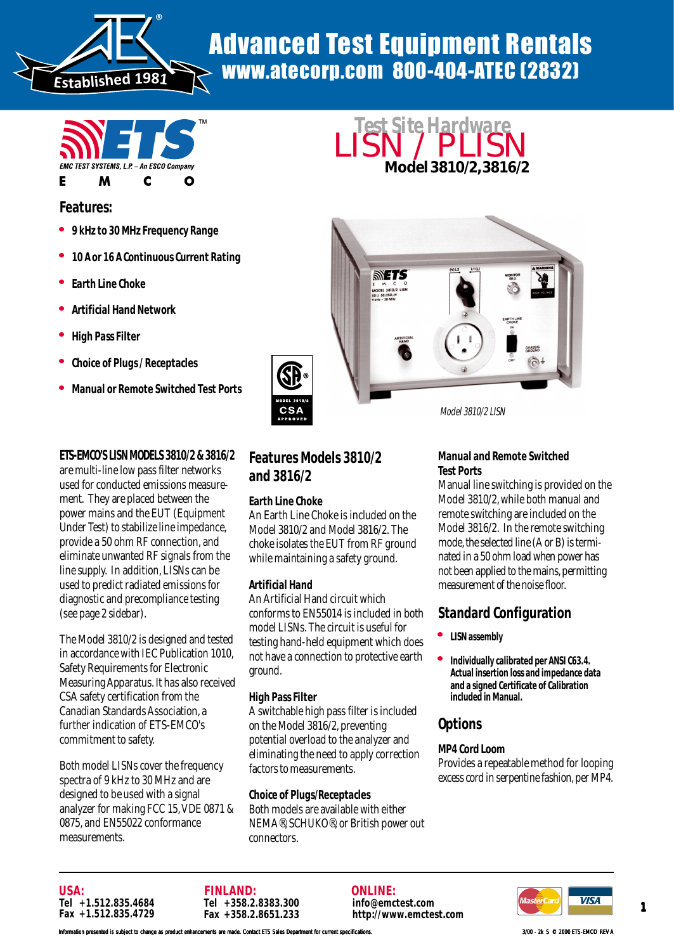

# Advanced Test Equipment Rentals www.atecorp.com 800-404-ATEC (2832)



## **Features:**

- <sup>l</sup> **9 kHz to 30 MHz Frequency Range**
- <sup>l</sup> **10 A or 16 A Continuous Current Rating**
- **Earth Line Choke**
- <sup>l</sup> **Artificial Hand Network**
- <sup>l</sup> **High Pass Filter**
- <sup>l</sup> **Choice of Plugs / Receptacles**
- <sup>l</sup> **Manual or Remote Switched Test Ports**

### **ETS-EMCO'S LISN MODELS 3810/2 & 3816/2**

are multi-line low pass filter networks used for conducted emissions measurement. They are placed between the power mains and the EUT (Equipment Under Test) to stabilize line impedance, provide a 50 ohm RF connection, and eliminate unwanted RF signals from the line supply. In addition, LISNs can be used to predict radiated emissions for diagnostic and precompliance testing (see page 2 sidebar).

The Model 3810/2 is designed and tested in accordance with IEC Publication 1010, Safety Requirements for Electronic Measuring Apparatus. It has also received CSA safety certification from the Canadian Standards Association, a further indication of ETS-EMCO's commitment to safety.

Both model LISNs cover the frequency spectra of 9 kHz to 30 MHz and are designed to be used with a signal analyzer for making FCC 15, VDE 0871 & 0875, and EN55022 conformance measurements.

## **Features Models 3810/2 and 3816/2**

#### **Earth Line Choke**

An Earth Line Choke is included on the Model 3810/2 and Model 3816/2. The choke isolates the EUT from RF ground while maintaining a safety ground.

#### **Artificial Hand**

An Artificial Hand circuit which conforms to EN55014 is included in both model LISNs. The circuit is useful for testing hand-held equipment which does not have a connection to protective earth ground.

#### **High Pass Filter**

A switchable high pass filter is included on the Model 3816/2, preventing potential overload to the analyzer and eliminating the need to apply correction factors to measurements.

#### **Choice of Plugs/Receptacles**

Both models are available with either NEMA®, SCHUKO®, or British power out connectors.





Model 3810/2 LISN

#### **Manual and Remote Switched Test Ports**

Manual line switching is provided on the Model 3810/2, while both manual and remote switching are included on the Model 3816/2. In the remote switching mode, the selected line (A or B) is terminated in a 50 ohm load when power has not been applied to the mains, permitting measurement of the noise floor.

## **Standard Configuration**

- <sup>l</sup> **LISN assembly**
- **Individually calibrated per ANSI C63.4. Actual insertion loss and impedance data and a signed Certificate of Calibration included in Manual.**

# **Options**

#### **MP4 Cord Loom**

Provides a repeatable method for looping excess cord in serpentine fashion, per MP4.





**ONLINE: info@emctest.com http://www.emctest.com**



In presented is subject to change as product enhancements are made. Contact ETS Sales Department for current specifications. **3/00 - 2k S © 2000 ETS-EMCO REV AREV**